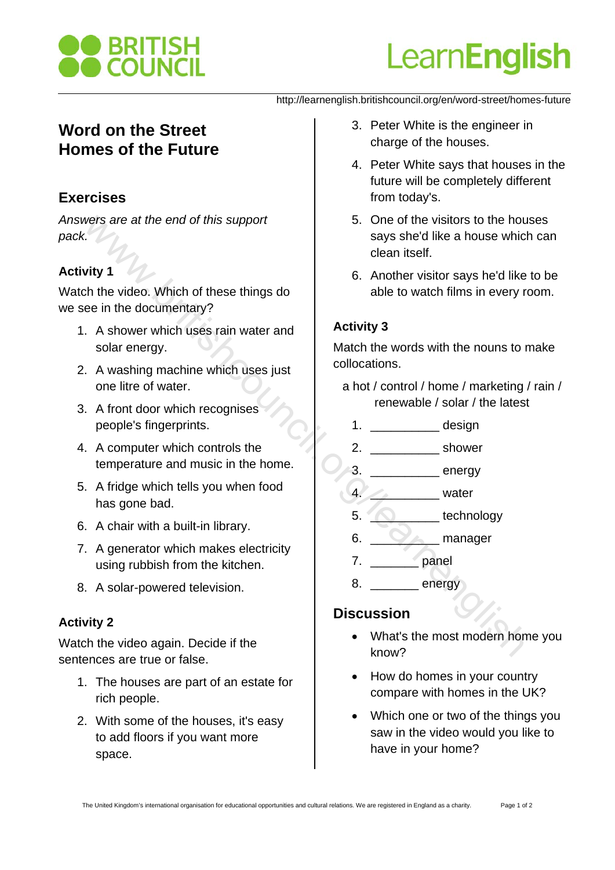

# Learn**English**

#### http://learnenglish.britishcouncil.org/en/word-street/homes-future

# **Word on the Street Homes of the Future**

# **Exercises**

*Answers are at the end of this support pack.*

# **Activity 1**

Watch the video. Which of these things do we see in the documentary?

- 1. A shower which uses rain water and solar energy.
- 2. A washing machine which uses just one litre of water.
- 3. A front door which recognises people's fingerprints.
- 4. A computer which controls the temperature and music in the home.
- 5. A fridge which tells you when food has gone bad.
- 6. A chair with a built-in library.
- 7. A generator which makes electricity using rubbish from the kitchen.
- 8. A solar-powered television.

## **Activity 2**

Watch the video again. Decide if the sentences are true or false.

- 1. The houses are part of an estate for rich people.
- 2. With some of the houses, it's easy to add floors if you want more space.
- 3. Peter White is the engineer in charge of the houses.
- 4. Peter White says that houses in the future will be completely different from today's.
- 5. One of the visitors to the houses says she'd like a house which can clean itself. wers are at the end of this support<br>
says she'd like a house which<br>
council the video. Which of these things do<br>
clean itself.<br>
change in the documentary?<br>
A shower which uses rain water and<br>
says and energy.<br>
A washing ma
	- 6. Another visitor says he'd like to be able to watch films in every room.

## **Activity 3**

Match the words with the nouns to make collocations.

- a hot / control / home / marketing / rain / renewable / solar / the latest
	- 1. design
- 2. \_\_\_\_\_\_\_\_\_\_ shower
- 3. **\_\_\_\_\_\_\_\_** energy
- 4.  $\sim$  water
- 5. **b** technology
- 6. **Example 19 manager**
- 7. \_\_\_\_\_\_\_\_\_\_ panel
- 8. \_\_\_\_\_\_\_\_\_ energy

# **Discussion**

- What's the most modern home you know?
- How do homes in your country compare with homes in the UK?
- Which one or two of the things you saw in the video would you like to have in your home?